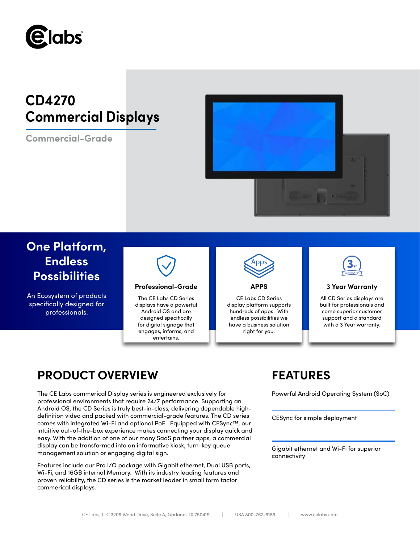

# **CD4270 Commercial Displays**

**Commercial-Grade**



# **One Platform, Endless Possibilities**

An Ecosystem of products specifically designed for professionals.



## **Professional-Grade APPS 3 Year Warranty**

The CE Labs CD Series displays have a powerful Android OS and are designed specifically for digital signage that engages, informs, and entertains.



CE Labs CD Series display platform supports hundreds of apps. With endless possibilities we have a business solution right for you.



All CD Series displays are built for professionals and come superior customer support and a standard with a 3 Year warranty.

## **PRODUCT OVERVIEW FEATURES**

The CE Labs commerical Display series is engineered exclusively for Powerful Android Operating System (SoC) professional environments that require 24/7 performance. Supporting an Android OS, the CD Series is truly best-in-class, delivering dependable highdefinition video and packed with commercial-grade features. The CD series comes with integrated Wi-Fi and optional PoE. Equipped with CESync™, our intuitive out-of-the-box experience makes connecting your display quick and easy. With the addition of one of our many SaaS partner apps, a commercial display can be transformed into an informative kiosk, turn-key queue management solution or engaging digital sign.

Features include our Pro I/O package with Gigabit ethernet, Dual USB ports, Wi-Fi, and 16GB internal Memory. With its industry leading features and proven reliability, the CD series is the market leader in small form factor commerical displays.

CESync for simple deployment

Gigabit ethernet and Wi-Fi for superior connectivity